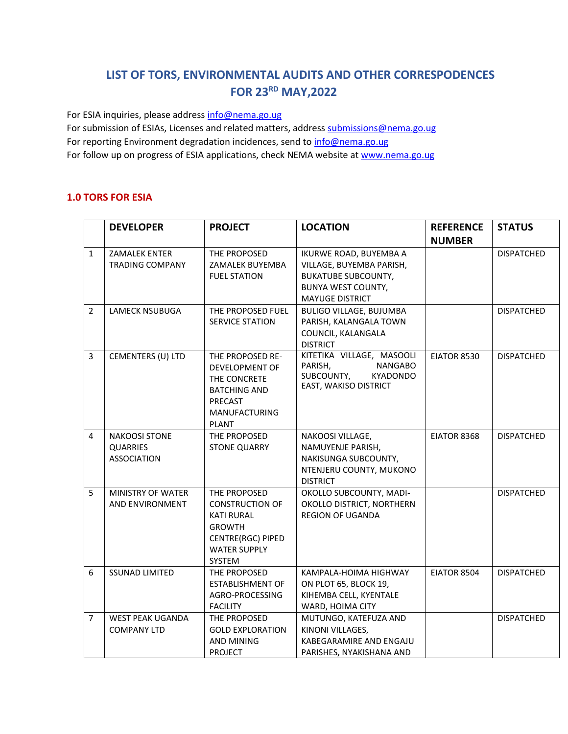## **LIST OF TORS, ENVIRONMENTAL AUDITS AND OTHER CORRESPODENCES FOR 23 RD MAY,2022**

For ESIA inquiries, please addres[s info@nema.go.ug](mailto:info@nema.go.ug)

For submission of ESIAs, Licenses and related matters, address [submissions@nema.go.ug](mailto:submissions@nema.go.ug) For reporting Environment degradation incidences, send t[o info@nema.go.ug](mailto:info@nema.go.ug) For follow up on progress of ESIA applications, check NEMA website at [www.nema.go.ug](http://www.nema.go.ug/)

## **1.0 TORS FOR ESIA**

| <b>NUMBER</b>                                                                                                                           |                   |
|-----------------------------------------------------------------------------------------------------------------------------------------|-------------------|
| IKURWE ROAD, BUYEMBA A<br>$\mathbf{1}$<br><b>ZAMALEK ENTER</b><br>THE PROPOSED                                                          | <b>DISPATCHED</b> |
| <b>TRADING COMPANY</b><br>VILLAGE, BUYEMBA PARISH,<br>ZAMALEK BUYEMBA                                                                   |                   |
| <b>FUEL STATION</b><br><b>BUKATUBE SUBCOUNTY,</b>                                                                                       |                   |
| <b>BUNYA WEST COUNTY,</b>                                                                                                               |                   |
| <b>MAYUGE DISTRICT</b>                                                                                                                  |                   |
| $\overline{2}$<br>THE PROPOSED FUEL<br><b>BULIGO VILLAGE, BUJUMBA</b><br><b>LAMECK NSUBUGA</b>                                          | <b>DISPATCHED</b> |
| <b>SERVICE STATION</b><br>PARISH, KALANGALA TOWN                                                                                        |                   |
| COUNCIL, KALANGALA                                                                                                                      |                   |
| <b>DISTRICT</b>                                                                                                                         |                   |
| KITETIKA VILLAGE, MASOOLI<br>$\overline{3}$<br><b>EIATOR 8530</b><br>CEMENTERS (U) LTD<br>THE PROPOSED RE-<br>PARISH,<br><b>NANGABO</b> | <b>DISPATCHED</b> |
| DEVELOPMENT OF<br>SUBCOUNTY,<br>KYADONDO                                                                                                |                   |
| THE CONCRETE<br>EAST, WAKISO DISTRICT                                                                                                   |                   |
| <b>BATCHING AND</b><br><b>PRECAST</b>                                                                                                   |                   |
| MANUFACTURING                                                                                                                           |                   |
| <b>PLANT</b>                                                                                                                            |                   |
| 4<br>THE PROPOSED<br>EIATOR 8368<br><b>NAKOOSI STONE</b><br>NAKOOSI VILLAGE,                                                            | <b>DISPATCHED</b> |
| <b>QUARRIES</b><br><b>STONE QUARRY</b><br>NAMUYENJE PARISH,                                                                             |                   |
| <b>ASSOCIATION</b><br>NAKISUNGA SUBCOUNTY,                                                                                              |                   |
| NTENJERU COUNTY, MUKONO                                                                                                                 |                   |
| <b>DISTRICT</b>                                                                                                                         |                   |
| 5<br>MINISTRY OF WATER<br>THE PROPOSED<br>OKOLLO SUBCOUNTY, MADI-                                                                       | <b>DISPATCHED</b> |
| AND ENVIRONMENT<br><b>CONSTRUCTION OF</b><br>OKOLLO DISTRICT, NORTHERN                                                                  |                   |
| <b>KATI RURAL</b><br><b>REGION OF UGANDA</b>                                                                                            |                   |
| <b>GROWTH</b>                                                                                                                           |                   |
| <b>CENTRE(RGC) PIPED</b>                                                                                                                |                   |
| <b>WATER SUPPLY</b>                                                                                                                     |                   |
| <b>SYSTEM</b>                                                                                                                           |                   |
| 6<br><b>SSUNAD LIMITED</b><br>THE PROPOSED<br>EIATOR 8504<br>KAMPALA-HOIMA HIGHWAY                                                      | <b>DISPATCHED</b> |
| <b>ESTABLISHMENT OF</b><br>ON PLOT 65, BLOCK 19,                                                                                        |                   |
| AGRO-PROCESSING<br>KIHEMBA CELL, KYENTALE                                                                                               |                   |
| <b>FACILITY</b><br>WARD, HOIMA CITY                                                                                                     |                   |
| MUTUNGO, KATEFUZA AND<br>7<br>WEST PEAK UGANDA<br>THE PROPOSED<br><b>COMPANY LTD</b><br><b>GOLD EXPLORATION</b><br>KINONI VILLAGES,     | <b>DISPATCHED</b> |
| AND MINING<br>KABEGARAMIRE AND ENGAJU                                                                                                   |                   |
| <b>PROJECT</b><br>PARISHES, NYAKISHANA AND                                                                                              |                   |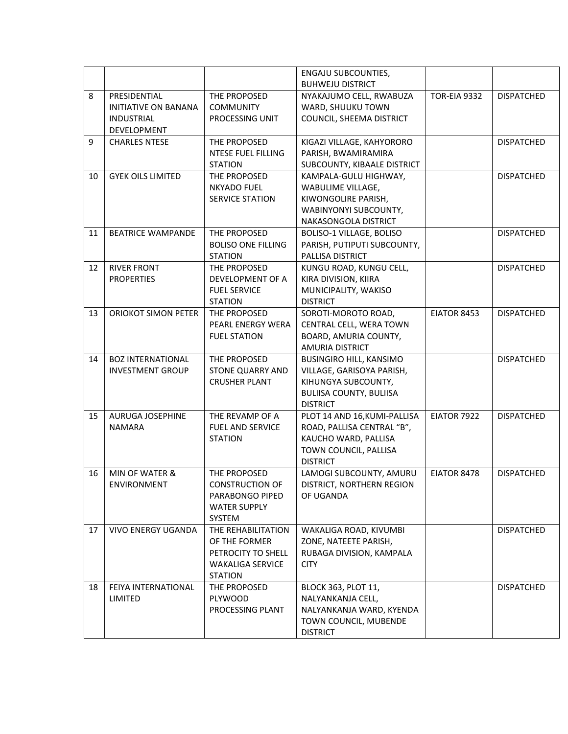|    |                             |                           | <b>ENGAJU SUBCOUNTIES,</b><br><b>BUHWEJU DISTRICT</b> |                     |                   |
|----|-----------------------------|---------------------------|-------------------------------------------------------|---------------------|-------------------|
| 8  | PRESIDENTIAL                |                           |                                                       | <b>TOR-EIA 9332</b> |                   |
|    |                             | THE PROPOSED              | NYAKAJUMO CELL, RWABUZA                               |                     | <b>DISPATCHED</b> |
|    | <b>INITIATIVE ON BANANA</b> | <b>COMMUNITY</b>          | WARD, SHUUKU TOWN                                     |                     |                   |
|    | <b>INDUSTRIAL</b>           | PROCESSING UNIT           | COUNCIL, SHEEMA DISTRICT                              |                     |                   |
|    | <b>DEVELOPMENT</b>          |                           |                                                       |                     |                   |
| 9  | <b>CHARLES NTESE</b>        | THE PROPOSED              | KIGAZI VILLAGE, KAHYORORO                             |                     | <b>DISPATCHED</b> |
|    |                             | NTESE FUEL FILLING        | PARISH, BWAMIRAMIRA                                   |                     |                   |
|    |                             | <b>STATION</b>            | SUBCOUNTY, KIBAALE DISTRICT                           |                     |                   |
| 10 | <b>GYEK OILS LIMITED</b>    | THE PROPOSED              | KAMPALA-GULU HIGHWAY,                                 |                     | <b>DISPATCHED</b> |
|    |                             | <b>NKYADO FUEL</b>        | WABULIME VILLAGE,                                     |                     |                   |
|    |                             | SERVICE STATION           | KIWONGOLIRE PARISH,                                   |                     |                   |
|    |                             |                           | WABINYONYI SUBCOUNTY,                                 |                     |                   |
|    |                             |                           | NAKASONGOLA DISTRICT                                  |                     |                   |
| 11 | <b>BEATRICE WAMPANDE</b>    | THE PROPOSED              | BOLISO-1 VILLAGE, BOLISO                              |                     | <b>DISPATCHED</b> |
|    |                             | <b>BOLISO ONE FILLING</b> | PARISH, PUTIPUTI SUBCOUNTY,                           |                     |                   |
|    |                             | <b>STATION</b>            | PALLISA DISTRICT                                      |                     |                   |
| 12 | <b>RIVER FRONT</b>          | THE PROPOSED              | KUNGU ROAD, KUNGU CELL,                               |                     | <b>DISPATCHED</b> |
|    | <b>PROPERTIES</b>           | DEVELOPMENT OF A          | KIRA DIVISION, KIIRA                                  |                     |                   |
|    |                             | <b>FUEL SERVICE</b>       | MUNICIPALITY, WAKISO                                  |                     |                   |
|    |                             | <b>STATION</b>            | <b>DISTRICT</b>                                       |                     |                   |
| 13 | <b>ORIOKOT SIMON PETER</b>  | THE PROPOSED              | SOROTI-MOROTO ROAD,                                   | EIATOR 8453         | <b>DISPATCHED</b> |
|    |                             | PEARL ENERGY WERA         | CENTRAL CELL, WERA TOWN                               |                     |                   |
|    |                             | <b>FUEL STATION</b>       | BOARD, AMURIA COUNTY,                                 |                     |                   |
|    |                             |                           | <b>AMURIA DISTRICT</b>                                |                     |                   |
| 14 | <b>BOZ INTERNATIONAL</b>    | THE PROPOSED              | BUSINGIRO HILL, KANSIMO                               |                     | <b>DISPATCHED</b> |
|    | <b>INVESTMENT GROUP</b>     | <b>STONE QUARRY AND</b>   | VILLAGE, GARISOYA PARISH,                             |                     |                   |
|    |                             | <b>CRUSHER PLANT</b>      | KIHUNGYA SUBCOUNTY,                                   |                     |                   |
|    |                             |                           |                                                       |                     |                   |
|    |                             |                           | <b>BULIISA COUNTY, BULIISA</b><br><b>DISTRICT</b>     |                     |                   |
| 15 | <b>AURUGA JOSEPHINE</b>     | THE REVAMP OF A           | PLOT 14 AND 16, KUMI-PALLISA                          | EIATOR 7922         | <b>DISPATCHED</b> |
|    | <b>NAMARA</b>               | <b>FUEL AND SERVICE</b>   |                                                       |                     |                   |
|    |                             |                           | ROAD, PALLISA CENTRAL "B",                            |                     |                   |
|    |                             | <b>STATION</b>            | KAUCHO WARD, PALLISA                                  |                     |                   |
|    |                             |                           | TOWN COUNCIL, PALLISA                                 |                     |                   |
|    |                             |                           |                                                       |                     |                   |
| 16 |                             |                           | <b>DISTRICT</b>                                       |                     |                   |
|    | MIN OF WATER &              | THE PROPOSED              | LAMOGI SUBCOUNTY, AMURU                               | EIATOR 8478         | <b>DISPATCHED</b> |
|    | <b>ENVIRONMENT</b>          | <b>CONSTRUCTION OF</b>    | DISTRICT, NORTHERN REGION                             |                     |                   |
|    |                             | PARABONGO PIPED           | OF UGANDA                                             |                     |                   |
|    |                             | <b>WATER SUPPLY</b>       |                                                       |                     |                   |
|    |                             | SYSTEM                    |                                                       |                     |                   |
| 17 | <b>VIVO ENERGY UGANDA</b>   | THE REHABILITATION        | WAKALIGA ROAD, KIVUMBI                                |                     | <b>DISPATCHED</b> |
|    |                             | OF THE FORMER             | ZONE, NATEETE PARISH,                                 |                     |                   |
|    |                             | PETROCITY TO SHELL        | RUBAGA DIVISION, KAMPALA                              |                     |                   |
|    |                             | <b>WAKALIGA SERVICE</b>   | <b>CITY</b>                                           |                     |                   |
|    |                             | <b>STATION</b>            |                                                       |                     |                   |
| 18 | FEIYA INTERNATIONAL         | THE PROPOSED              | BLOCK 363, PLOT 11,                                   |                     | <b>DISPATCHED</b> |
|    | LIMITED                     | <b>PLYWOOD</b>            | NALYANKANJA CELL,                                     |                     |                   |
|    |                             | PROCESSING PLANT          | NALYANKANJA WARD, KYENDA                              |                     |                   |
|    |                             |                           | TOWN COUNCIL, MUBENDE                                 |                     |                   |